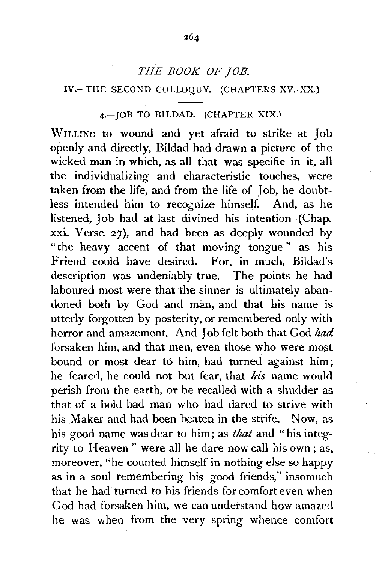### *THE BOOK OF JOB.*

#### IV.-THE SECOND COLLOQUY. (CHAPTERS XV.-XX.)

### 4.-JOB TO BILDAD. (CHAPTER XIX.)

WILLING to wound and yet afraid to strike at Job openly and directly, Bildad had drawn a picture of the wicked man in which, as all that was specific in it, all the individualizing and characteristic touches, were taken from the life, and from the life of Job, he doubtless intended him to recognize himself. And, as he listened, Job had at last divined his intention (Chap. xxi. Verse 27), and had been as deeply wounded by "the heavy accent of that moving tongue" as his Friend could have desired. For, in much, Bildad's description was undeniably true. The points he had laboured most were that the sinner is ultimately abandoned both by God and man, and that his name is utterly forgotten by posterity, or remembered only with horror and amazement. And Job felt both that God *had*  forsaken him, and that men, even those who were most bound or most dear to him, had turned against him; he feared, he could not but fear, that *his* name would perish from the earth, or be recalled with a shudder as that of a bold bad man who had dared to strive with his Maker and had been beaten in the strife. Now, as his good name was dear to him; as *that* and "his integrity to Heaven" were all he dare now call his own; as, moreover, "he counted himself in nothing else so happy as in a soul remembering his good friends," insomuch that he had turned to his friends for comfort even when God had forsaken him, we can understand how amazed he was when from the very spring whence comfort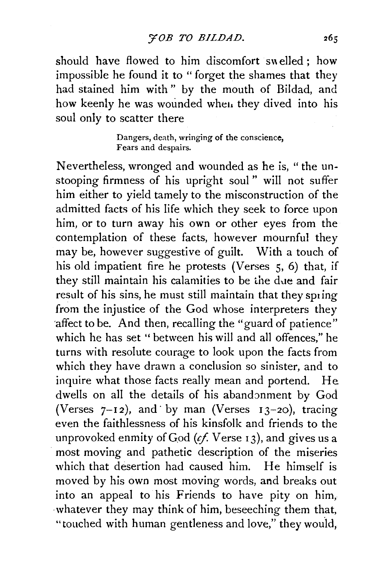should have flowed to him discomfort swelled : how impossible he found it to " forget the shames that they had stained him with " by the mouth of Bildad, and how keenly he was wounded whet. they dived into his soul only to scatter there

> Dangers, death, wringing of the conscience, Fears and despairs.

Nevertheless, wronged and wounded as he is, " the unstooping firmness of his upright soul " will not suffer him either to yield tamely to the misconstruction of the admitted facts of his life which they seek to force upon him, or to turn away his own or other eyes from the contemplation of these facts, however mournful they may be, however suggestive of guilt. With a touch of his old impatient fire he protests (Verses 5, 6) that, if they still maintain his calamities to be the due and fair result of his sins, he must still maintain that they spring from the injustice of the God whose interpreters they 'affect to be. And then, recalling the "guard of patience" which he has set " between his will and all offences," he turns with resolute courage to look upon the facts from which they have drawn a conclusion so sinister, and to inquire what those facts really mean and portend. He dwells on all the details of his abandonment by God (Verses  $7-12$ ), and by man (Verses  $13-20$ ), tracing even the faithlessness of his kinsfolk and friends to the unprovoked enmity of God (*cf.* Verse 13), and gives us a most moving and pathetic description of the miseries which that desertion had caused him. He himself is moved by his own most moving words, and breaks out into an appeal to his Friends to have pity on him, whatever they may think of him, beseeching them that, "touched with human gentleness and love," they would,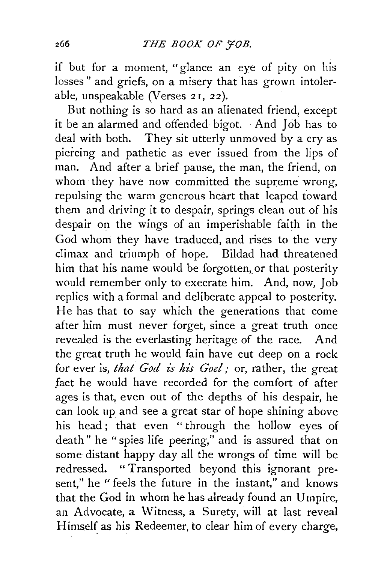if but for a moment, "glance an eye of pity on his losses" and griefs, on a misery that has grown intolerable, unspeakable (Verses 21, 22).

But nothing is so hard as an alienated friend, except it be an alarmed and offended bigot. And Job has to deal with both. They sit utterly unmoved by a cry as piercing and pathetic as ever issued from the lips of man. And after a brief pause, the man, the friend, on whom they have now committed the supreme wrong, repulsing the warm generous heart that leaped toward them and driving it to despair, springs clean out of his despair on the wings of an imperishable faith in the God whom they have traduced, and rises to the very climax and triumph of hope. Bildad had threatened him that his name would be forgotten, or that posterity would remember only to execrate him. And, now, Job replies with a formal and deliberate appeal to posterity. He has that to say which the generations that come after him must never forget, since a great truth once revealed is the everlasting heritage of the race. And the great truth he would fain have cut deep on a rock for ever is, *that God is his Goel;* or, rather, the great fact he would have recorded for the comfort of after ages is that, even out of the depths of his despair, he can look up and see a great star of hope shining above his head; that even "through the hollow eyes of death" he "spies life peering," and is assured that on some distant happy day all the wrongs of time will be redressed. "Transported beyond this ignorant present," he " feels the future in the instant," and knows that the God in whom he has already found an Umpire, an Advocate, a Witness, a Surety, will at last reveal Himself as his Redeemer, to clear him of every charge,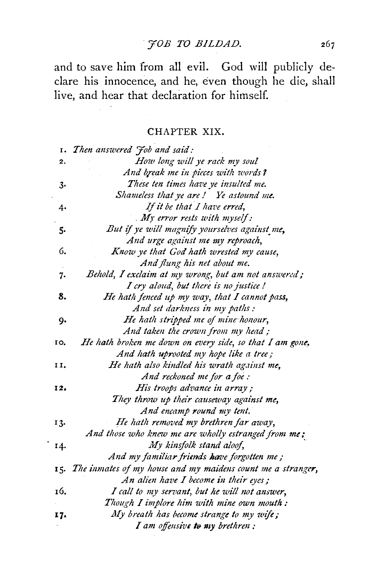# *'JOB TO BJLDAD.*

and to save him from all evil. God will publicly declare his innocence, and he, even though he die, shall live, and hear that declaration for himself.

## CHAPTER XIX.

|     | 1. Then answered Job and said:                                  |
|-----|-----------------------------------------------------------------|
| 2.  | How long will ye rack my soul                                   |
|     | And break me in pieces with words?                              |
| 3.  | These ten times have ye insulted me.                            |
|     | Shameless that ye are! Ye astound me.                           |
| 4.  | If it be that I have erred,                                     |
|     | $M$ error rests with myself:                                    |
| 5.  | But if ye will magnify yourselves against me,                   |
|     | And urge against me my reproach,                                |
| 6.  | Know ye that God hath wrested my cause,                         |
|     | And flung his net about me.                                     |
| 7.  | Behold, I exclaim at my wrong, but am not answered;             |
|     | I cry aloud, but there is no justice!                           |
| 8.  | He hath fenced up my way, that I cannot pass,                   |
|     | And set darkness in my paths:                                   |
| 9.  | He hath stripped me of mine honour,                             |
|     | And taken the crown from my head;                               |
| ю,  | He hath broken me down on every side, so that I am gone.        |
|     | And hath uprooted my hope like a tree;                          |
| 11, | He hath also kindled his wrath against me,                      |
|     | And reckoned me for a foe:                                      |
| 12, | His troops advance in array;                                    |
|     | They throw up their causeway against me,                        |
|     | And encamp round my tent.                                       |
| 13. | He hath removed my brethren far away,                           |
|     | And those who knew me are wholly estranged from me;             |
| 14. | My kinsfolk stand aloof,                                        |
|     | And my familiar friends have forgotten me;                      |
|     | 15. The inmates of my house and my maidens count me a stranger, |
|     | An alien have I become in their eyes;                           |
| 16. | I call to my servant, but he will not answer,                   |
|     | Though I implore him with mine own mouth:                       |
| 17. | My breath has become strange to my wife;                        |
|     | I am offensive to my brethren:                                  |

 $\cdot$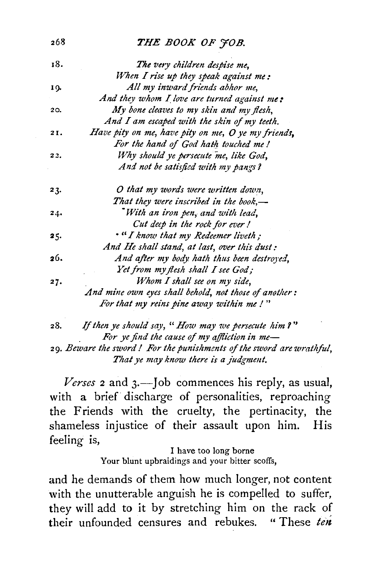#### 268 **THE BOOK OF FOB.**

| 18. | The very children despise me,                         |
|-----|-------------------------------------------------------|
|     | When I rise up they speak against me:                 |
| 19. | All my inward friends abhor me,                       |
|     | And they whom I love are turned against me:           |
| 20. | My bone cleaves to my skin and my flesh,              |
|     | And I am escaped with the skin of my teeth.           |
| 21. | Have pity on me, have pity on me, O ye my friends,    |
|     | For the hand of God hath touched me!                  |
| 22. | Why should ye persecute me, like God,                 |
|     | And not be satisfied with my pangs?                   |
| 23. | O that my words were written down,                    |
|     | That they were inscribed in the book,—                |
| 24. | With an iron pen, and with lead,                      |
|     | Cut deep in the rock for ever!                        |
| 25. | . "I know that my Redeemer liveth;                    |
|     | And He shall stand, at last, over this dust:          |
| 26. | And after my body hath thus been destroyed,           |
|     | Yet from my flesh shall I see God;                    |
| 27. | Whom I shall see on my side,                          |
|     | And mine own eyes shall behold, not those of another: |
|     | For that my reins pine away within me!"               |
|     |                                                       |

28. lj *then ye should say, "How may we persecute him* J" For ye find the cause of my affliction in me-29. *Beware the sword* I *For the punishments of the sword are wrathful,*  That ye may know there is a judgment.

*Verses* 2 and *3.-]ob* commences his reply, as usual, with a brief discharge of personalities, reproaching the Friends with the cruelty, the pertinacity, the shameless injustice of their assault upon him. His feeling is,

> I have too long borne Your blunt upbraidings and your bitter scoffs,

and he demands of them how much longer, not content with the unutterable anguish he is compelled to suffer, they will add to it by stretching him on the rack of their unfounded censures and rebukes. " These *ten*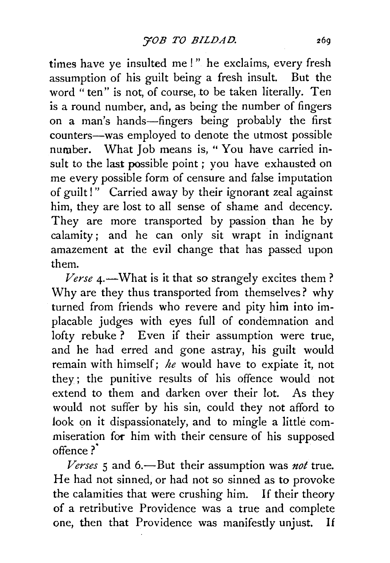times have ye insulted me !" he exclaims, every fresh assumption of his guilt being a fresh insult. But the word "ten" is not, of course, to be taken literally. Ten is a round number, and, as being the number of fingers on a man's hands-fingers being probably the first counters-was employed to denote the utmost possible number. What Job means is, "You have carried insult to the last possible point ; you have exhausted on me every possible form of censure and false imputation of guilt!" Carried away by their ignorant zeal against him, they are lost to all sense of shame and decency. They are more transported by passion than he by calamity; and he can only sit wrapt in indignant amazement at the evil change that has passed upon them.

*Verse* 4.—What is it that so strangely excites them? Why are they thus transported from themselves? why turned from friends who revere and pity him into implacable judges with eyes full of condemnation and lofty rebuke ? Even if their assumption were true, and he had erred and gone astray, his guilt would remain with himself; *he* would have to expiate it, not they; the punitive results of his offence would not extend to them and darken over their lot. As they would not suffer by his sin, could they not afford to Jook on it dispassionately, and to mingle a little commiseration foc him with their censure of his supposed offence?

*Verses* 5 and 6.-But their assumption was *not* true. He had not sinned, or had not so sinned as to provoke the calamities that were crushing him. If their theory of a retributive Providence was a true and complete one, then that Providence was manifestly unjust. If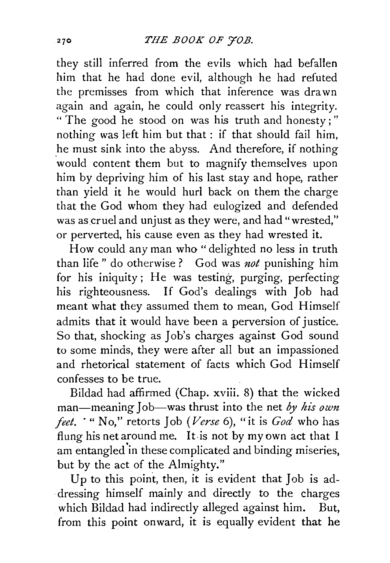they still inferred from the evils which had befallen him that he had done evil, although he had refuted the premisses from which that inference was drawn again and again, he could only reassert his integrity. " The good he stood on was his truth and honesty ; " nothing was left him but that : if that should fail him, he must sink into the abyss. And therefore, if nothing would content them but to magnify themselves upon him by depriving him of his last stay and hope, rather than yield it he would hurl back on them the charge that the God whom they had eulogized and defended was as cruel and unjust as they were, and had "wrested," or perverted, his cause even as they had wrested it.

How could any man who "delighted no less in truth than life " do otherwise ? God was *not* punishing him for his iniquity; He was testing, purging, perfecting his righteousness. If God's dealings with Job had meant what they assumed them to mean, God Himself admits that it would have been a perversion of justice. So that, shocking as Job's charges against God sound to some minds, they were after all but an impassioned and rhetorical statement of facts which God Himself confesses to be true.

Bildad had affirmed (Chap. xviii. 8) that the wicked man-meaning Job-was thrust into the net *by his own feet.* ·"No," retorts Job *(Verse* 6), "it is *God* who has flung his net around me. It is not by my own act that I am entangled'in these complicated and binding miseries, but by the act of the Almighty."

Up to this point, then, it is evident that Job is addressing himself mainly and directly to the charges which Bildad had indirectly alleged against him. But, from this point onward, it is equally evident that he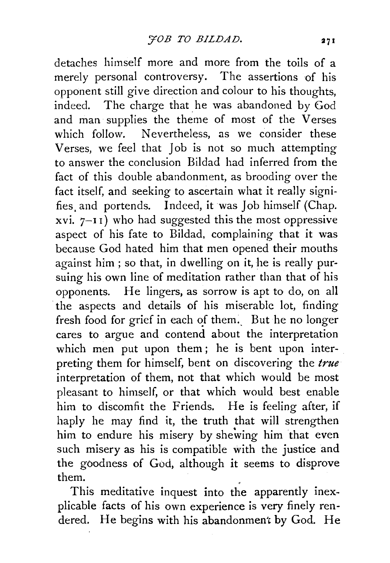detaches himself more and more from the toils of a merely personal controversy. The assertions of his opponent still give direction and colour to his thoughts, indeed. The charge that he was abandoned by God and man supplies the theme of most of the Verses which follow. Nevertheless, as we consider these Verses, we feel that Job is not so much attempting to answer the conclusion Bildad had inferred from the fact of this double abandonment, as brooding over the fact itself, and seeking to ascertain what it really signifies. and portends. Indeed, it was Job himself (Chap. xvi.  $7-11$ ) who had suggested this the most oppressive aspect of his fate to Bildad, complaining that it was because God hated him that men opened their mouths against him ; so that, in dwelling on it, he is really pursuing his own line of meditation rather than that of his opponents. He lingers, as sorrow is apt to do, on all the aspects and details of his miserable lot, finding fresh food for grief in each of them. But he no longer cares to argue and contend about the interpretation which men put upon them; he is bent upon interpreting them for himself, bent on discovering the *true*  interpretation of them, not that which would be most pleasant to himself, or that which would best enable him to discomfit the Friends. He is feeling after, if haply he may find it, the truth that will strengthen him to endure his misery by shewing him that even such misery as his is compatible with the justice and the goodness of God, although it seems to disprove them.

This meditative inquest into the apparently inexplicable facts of his own experience is very finely rendered. He begins with his abandonment by God. He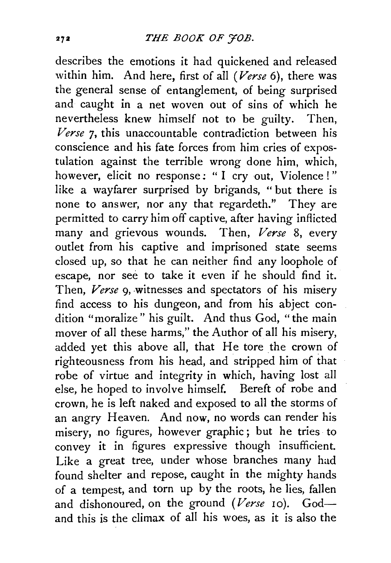describes the emotions it had quickened and released within him. And here, first of all *(Verse* 6}, there was the general sense of entanglement, of being surprised and caught in a net woven out of sins of which he nevertheless knew himself not to be guilty. Then, *Verse* 7, this unaccountable contradiction between his conscience and his fate forces from him cries of expostulation against the terrible wrong done him, which, however, elicit no response: "I cry out, Violence!" like a wayfarer surprised by brigands, " but there is none to answer, nor any that regardeth." They are permitted to carry him off captive, after having inflicted many and grievous wounds. Then, *Verse* 8, every outlet from his captive and imprisoned state seems closed up, so that he can neither find any loophole of escape, nor see to take it even if he should find it. Then, *Verse* 9, witnesses and spectators of his misery find access to his dungeon, and from his abject condition "moralize" his guilt. And thus God, "the main mover of all these harms," the Author of all his misery, added yet this above all, that He tore the crown of righteousness from his head, and stripped him of that robe of virtue and integrity in which, having lost all else, he hoped to involve himself. Bereft of robe and crown, he is left naked and exposed to all the storms of an angry Heaven. And now, no words can render his misery, no figures, however graphic; but he tries to convey it in figures expressive though insufficient. Like a great tree, under whose branches many had found shelter and repose, caught in the mighty hands of a tempest, and torn up by the roots, he lies, fallen and dishonoured, on the ground *(Verse* 10). Godand this is the climax of all his woes, as it is also the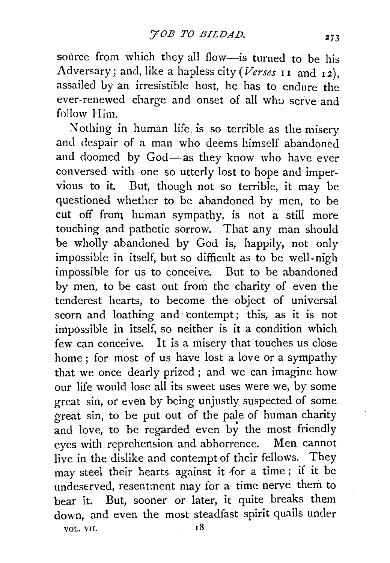source from which they all flow-is turned to be his Adversary; and, like a hapless city (Verses 11 and 12), assailed by an irresistible host, he has to endure the ever-renewed charge and onset of all who serve and follow Him.

Nothing in human life. is so terrible as the misery and despair of a man who deems himself abandoned and doomed by  $God - as$  they know who have ever conversed with one so utterly lost to hope and impervious to it. But, though not so terrible, it may be questioned whether to be abandoned by men, to be cut off from human sympathy, is not a still more touching and pathetic sorrow. That any man should be wholly abandoned by God is, happily, not only impossible in itself, but so difficult as to be well-nigh impossible for us to conceive. But to be abandoned by men, to be cast out from the charity of even the tenderest hearts, to become the object of universal scorn and loathing and tontempt; this, as it is not impossible in itself, so neither is it a condition which few can conceive. It is a misery that touches us close home ; for most of us have lost a love or a sympathy that we once dearly prized ; and we can imagine how our life would lose all its sweet uses were we, by some great sin, or even by being unjustly suspected of some  $\sigma$  reat sin, to be put out of the pale of human charity and love, to be regarded even by the most friendly eyes with reprehension and abhorrence. Men cannot live in the dislike and contempt of their fellows. They may steel their hearts against it for a time; if it be undeserved, resentment may for a time nerve them to bear it. But, sooner or later, it quite breaks them down, and even the most steadfast spirit quails under vol. VII. 18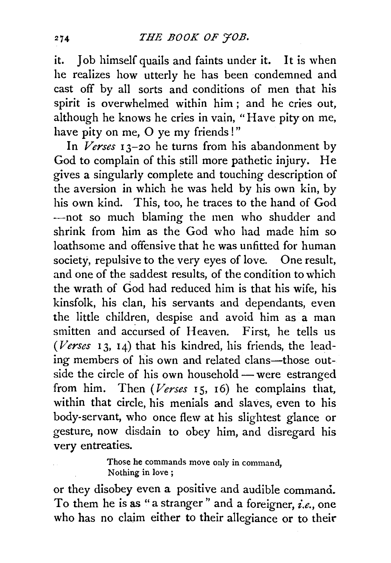it. Job himself quails and faints under it. It is when he realizes how utterly he has been condemned and cast off by all sorts and conditions of men that his spirit is overwhelmed within him ; and he cries out, although he knows he cries in vain, "Have pity on me, have pity on me, O ye my friends!"

In *Verses* I 3-20 he turns from his abandonment by God to complain of this still more pathetic injury. He gives a singularly complete and touching description of the aversion in which he was held by his own kin, by his own kind. This, too, he traces to the hand of God -not so much blaming the men who shudder and shrink from him as the God who had made him so loathsome and offensive that he was unfitted for human society, repulsive to the very eyes of love. One result, and one of the saddest results, of the condition to which the wrath of God had reduced him is that his wife, his kinsfolk, his clan, his servants and dependants, even the little children, despise and avoid him as a man smitten and accursed of Heaven. First, he tells us *(Verses* 13, 14) that his kindred, his friends, the leading members of his own and related clans-those outside the circle of his own household - were estranged from him. Then *(Verses* 15, 16) he complains that, within that circle, his menials and slaves, even to his body-servant, who once flew at his slightest glance or gesture, now disdain to obey him, and disregard his very entreaties.

> Those he commands move only in command, Nothing in love;

or they disobey even a positive and audible command. To them he is as "a stranger" and a foreigner, *i.e.,* one who has no claim either to their allegiance or to their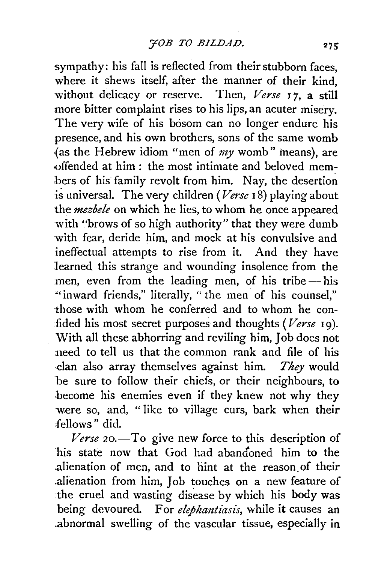sympathy: his fall is reflected from their stubborn faces, where it shews itself, after the manner of their kind, without delicacy or reserve. Then, *Verse* r *7,* a still more bitter complaint rises to his lips, an acuter misery. The very wife of his bosom can no longer endure his presence, and his own brothers, sons of the same womb {as the Hebrew idiom "men of *my* womb" ineans), are offended at him : the most intimate and beloved members of his family revolt from him. Nay, the desertion is universal. The very children *(Verse* 18) playing about the *mezbe!e* on which he lies, to whom he once appeared with "brows of so high authority" that they were dumb with fear, deride him, and mock at his convulsive and ineffectual attempts to rise from it. And they have learned this strange and wounding insolence from the men, even from the leading men, of his tribe-his "inward friends," literally, "the men of his counsel," those with whom he conferred and to whom he confided his most secret purposes and thoughts *(Verse* 19). With all these abhorring and reviling him, Job does not 11eed to tell us that the common rank and file of his ·clan also array themselves against him. *They* would be sure to follow their chiefs, or their neighbours, to become his enemies even if they knew not why they were so, and, " like to village curs, bark when their fellows" did.

*Verse* 20.—To give new force to this description of his state now that God had abandoned him to the .alienation of men, and to hint at the reason\_ of their .alienation from him, Job touches on a new feature of .the cruel and wasting disease by which his body was being devoured. For *elephantiasis*, while it causes an .abnormal swelling of the vascular tissue, especially in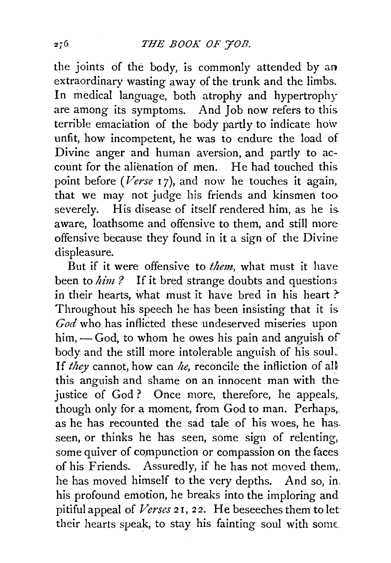the joints of the body, is commonly attended by an extraordinary wasting away of the trunk and the limbs. In medical language, both atrophy and hypertrophy are among its symptoms. And Job now refers to this terrible emaciation of the body partly to indicate how unfit, how incompetent, he was to endure the load of Divine anger and human aversion, and partly to account for the alienation of men. He had touched this point before *(Verse 17)*, and now he touches it again, that we may not judge his friends and kinsmen too severely. His disease of itself rendered him, as he is aware, loathsome and offensive to them, and still more offensive because they found in it a sign of the Divine displeasure.

But if it were offensive to *them,* what must it have been to *him?* If it bred strange doubts and questions in their hearts, what must it have bred in his heart? Throughout his speech he has been insisting that it is *God* who has inflicted these undeserved miseries upon him, $\sim$  God, to whom he owes his pain and anguish of body and the still more intolerable anguish of his soul. If *they* cannot, how can *he,* reconcile the infliction of aU this anguish and shame on an innocent man with the justice of God? Once more, therefore, he appeals, though only for a moment, from God to man. Perhaps,. as he has recounted the sad tale of his woes, he has. seen, or thinks he has seen, some sign of relenting, some quiver of compunction or compassion on the faces of his Friends. Assuredly, if he has not moved them,. he has moved himself to the very depths. And so, in his profound emotion, he breaks into the imploring and pitiful appeal of *Verses* 21, *22.* He beseeches them to let· their hearts speak, to stay his fainting soul with some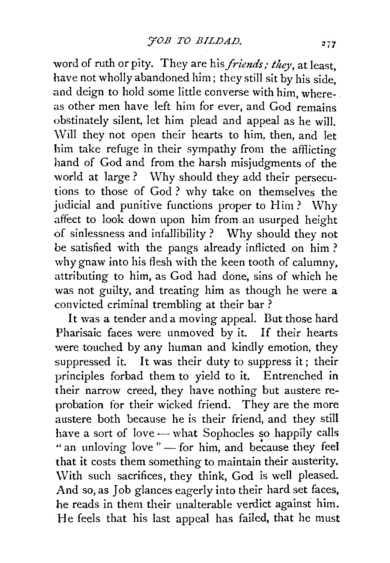word of ruth or pity. They are his *friends; they,* at least, have not wholly abandoned him; they still sit by his side, and deign to hold some little converse with him, whereas other men have left him for ever, and God remains obstinately silent, let him plead and appeal as he will. Will they not open their hearts to him, then, and let him take refuge in their sympathy from the afflicting hand of God and from the harsh misjudgments of the world at large? Why should they add their persecutions to those of God? why take on themselves the judicial and punitive functions proper to Him? Why affect to look down upon him from an usurped height of sinlessness and infallibility ? Why should they not be satisfied with the pangs already inflicted on him? why gnaw into his flesh with the keen tooth of calumny, attributing to him, as God had done, sins of which he was not guilty, and treating him as though he were a convicted criminal trembling at their bar ?

It was a tender and a moving appeal. But those hard Pharisaic faces were unmoved by it. If their hearts were touched by any human and kindly emotion, they suppressed it. It was their duty to suppress it; their principles forbad them to yield to it. Entrenched in their narrow creed, they have nothing but austere reprobation for their wicked friend. They are the more austere both because he is their friend, and they still have a sort of love - what Sophocles so happily calls " an unloving love " $-$  for him, and because they feel that it costs them something to maintain their austerity. With such sacrifices, they think, God is well pleased. And so, as Job glances eagerly into their hard set faces, he reads in them their unalterable verdict against him. He feels that his last appeal has failed, that he must